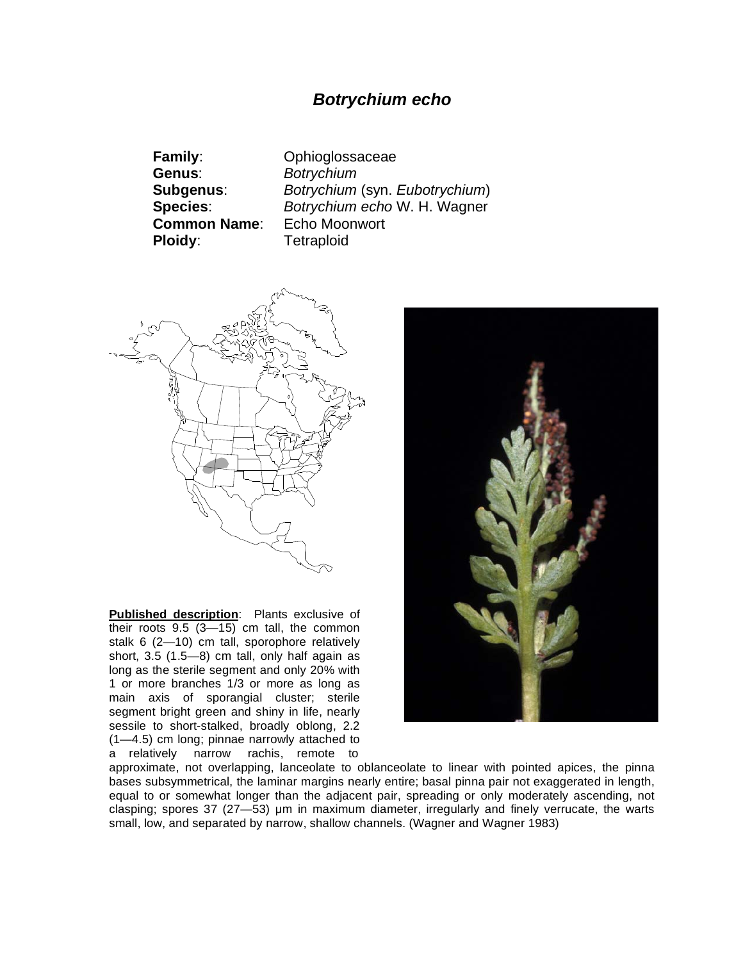## *Botrychium echo*

**Family**: Ophioglossaceae **Genus**: *Botrychium* **Common Name**: Echo Moonwort **Ploidy:** Tetraploid

**Subgenus**: *Botrychium* (syn. *Eubotrychium*) **Species**: *Botrychium echo* W. H. Wagner



**Published description**: Plants exclusive of their roots 9.5 (3—15) cm tall, the common stalk 6 (2—10) cm tall, sporophore relatively short, 3.5 (1.5—8) cm tall, only half again as long as the sterile segment and only 20% with 1 or more branches 1/3 or more as long as main axis of sporangial cluster; sterile segment bright green and shiny in life, nearly sessile to short-stalked, broadly oblong, 2.2 (1—4.5) cm long; pinnae narrowly attached to a relatively narrow rachis, remote to



approximate, not overlapping, lanceolate to oblanceolate to linear with pointed apices, the pinna bases subsymmetrical, the laminar margins nearly entire; basal pinna pair not exaggerated in length, equal to or somewhat longer than the adjacent pair, spreading or only moderately ascending, not clasping; spores  $37$  ( $27-53$ ) µm in maximum diameter, irregularly and finely verrucate, the warts small, low, and separated by narrow, shallow channels. (Wagner and Wagner 1983)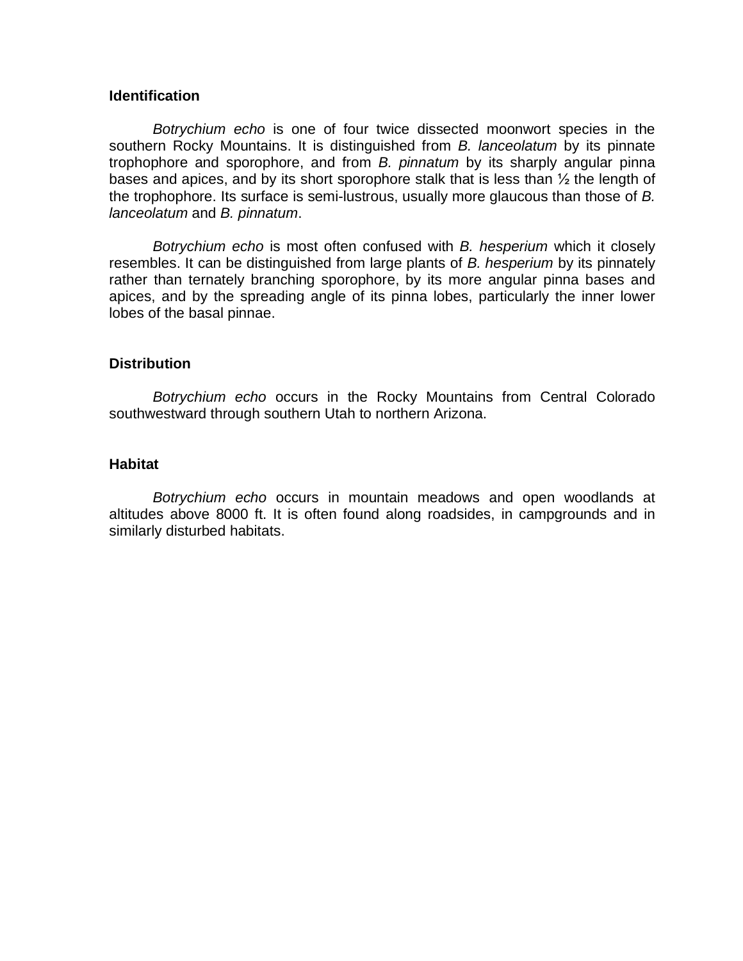## **Identification**

*Botrychium echo* is one of four twice dissected moonwort species in the southern Rocky Mountains. It is distinguished from *B. lanceolatum* by its pinnate trophophore and sporophore, and from *B. pinnatum* by its sharply angular pinna bases and apices, and by its short sporophore stalk that is less than  $\frac{1}{2}$  the length of the trophophore. Its surface is semi-lustrous, usually more glaucous than those of *B. lanceolatum* and *B. pinnatum*.

*Botrychium echo* is most often confused with *B. hesperium* which it closely resembles. It can be distinguished from large plants of *B. hesperium* by its pinnately rather than ternately branching sporophore, by its more angular pinna bases and apices, and by the spreading angle of its pinna lobes, particularly the inner lower lobes of the basal pinnae.

## **Distribution**

*Botrychium echo* occurs in the Rocky Mountains from Central Colorado southwestward through southern Utah to northern Arizona.

## **Habitat**

*Botrychium echo* occurs in mountain meadows and open woodlands at altitudes above 8000 ft. It is often found along roadsides, in campgrounds and in similarly disturbed habitats.